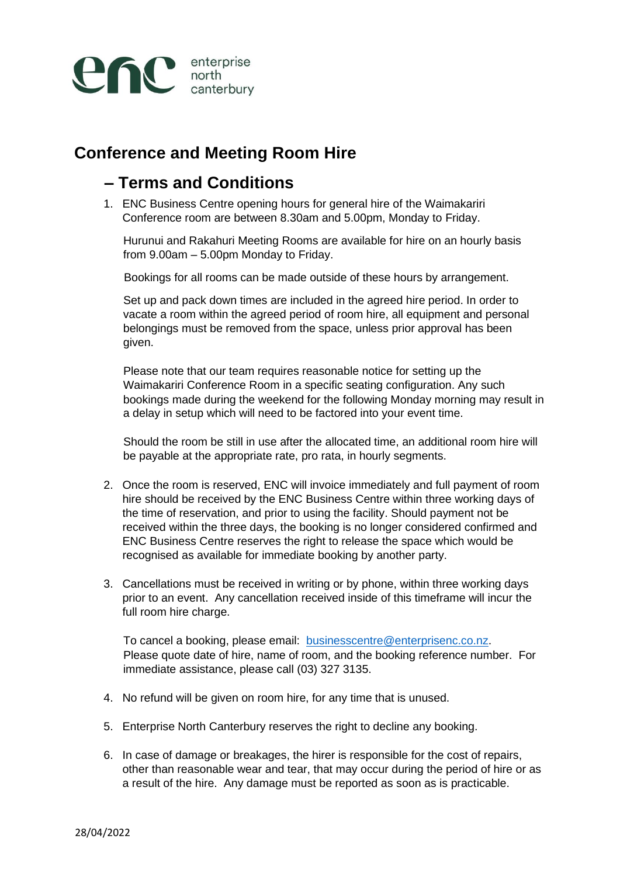

## **Conference and Meeting Room Hire**

## **– Terms and Conditions**

1. ENC Business Centre opening hours for general hire of the Waimakariri Conference room are between 8.30am and 5.00pm, Monday to Friday.

Hurunui and Rakahuri Meeting Rooms are available for hire on an hourly basis from 9.00am – 5.00pm Monday to Friday.

Bookings for all rooms can be made outside of these hours by arrangement.

Set up and pack down times are included in the agreed hire period. In order to vacate a room within the agreed period of room hire, all equipment and personal belongings must be removed from the space, unless prior approval has been given.

Please note that our team requires reasonable notice for setting up the Waimakariri Conference Room in a specific seating configuration. Any such bookings made during the weekend for the following Monday morning may result in a delay in setup which will need to be factored into your event time.

Should the room be still in use after the allocated time, an additional room hire will be payable at the appropriate rate, pro rata, in hourly segments.

- 2. Once the room is reserved, ENC will invoice immediately and full payment of room hire should be received by the ENC Business Centre within three working days of the time of reservation, and prior to using the facility. Should payment not be received within the three days, the booking is no longer considered confirmed and ENC Business Centre reserves the right to release the space which would be recognised as available for immediate booking by another party.
- 3. Cancellations must be received in writing or by phone, within three working days prior to an event. Any cancellation received inside of this timeframe will incur the full room hire charge.

To cancel a booking, please email: businesscentre@enterprisenc.co.nz. Please quote date of hire, name of room, and the booking reference number. For immediate assistance, please call (03) 327 3135.

- 4. No refund will be given on room hire, for any time that is unused.
- 5. Enterprise North Canterbury reserves the right to decline any booking.
- 6. In case of damage or breakages, the hirer is responsible for the cost of repairs, other than reasonable wear and tear, that may occur during the period of hire or as a result of the hire. Any damage must be reported as soon as is practicable.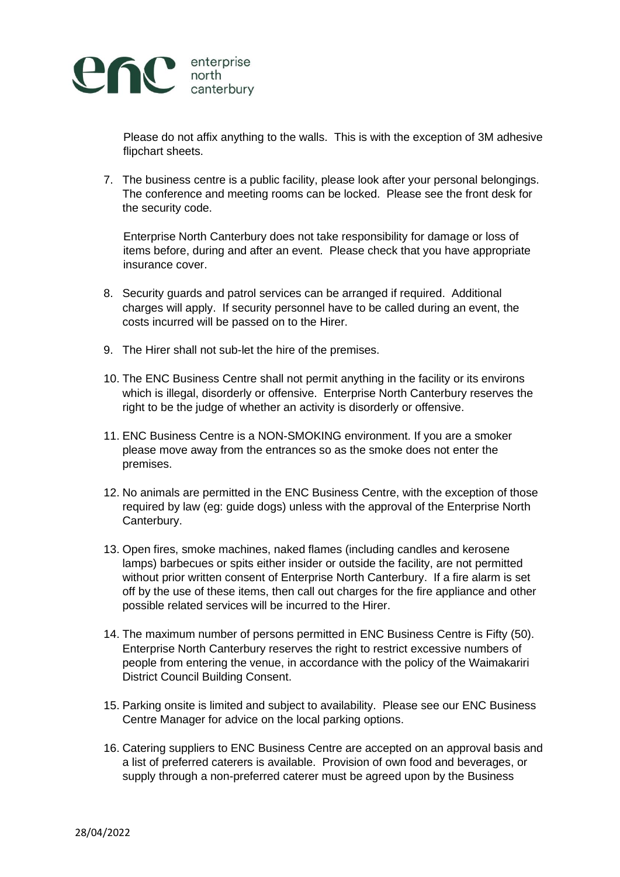

Please do not affix anything to the walls. This is with the exception of 3M adhesive flipchart sheets.

7. The business centre is a public facility, please look after your personal belongings. The conference and meeting rooms can be locked. Please see the front desk for the security code.

Enterprise North Canterbury does not take responsibility for damage or loss of items before, during and after an event. Please check that you have appropriate insurance cover.

- 8. Security guards and patrol services can be arranged if required. Additional charges will apply. If security personnel have to be called during an event, the costs incurred will be passed on to the Hirer.
- 9. The Hirer shall not sub-let the hire of the premises.
- 10. The ENC Business Centre shall not permit anything in the facility or its environs which is illegal, disorderly or offensive. Enterprise North Canterbury reserves the right to be the judge of whether an activity is disorderly or offensive.
- 11. ENC Business Centre is a NON-SMOKING environment. If you are a smoker please move away from the entrances so as the smoke does not enter the premises.
- 12. No animals are permitted in the ENC Business Centre, with the exception of those required by law (eg: guide dogs) unless with the approval of the Enterprise North Canterbury.
- 13. Open fires, smoke machines, naked flames (including candles and kerosene lamps) barbecues or spits either insider or outside the facility, are not permitted without prior written consent of Enterprise North Canterbury. If a fire alarm is set off by the use of these items, then call out charges for the fire appliance and other possible related services will be incurred to the Hirer.
- 14. The maximum number of persons permitted in ENC Business Centre is Fifty (50). Enterprise North Canterbury reserves the right to restrict excessive numbers of people from entering the venue, in accordance with the policy of the Waimakariri District Council Building Consent.
- 15. Parking onsite is limited and subject to availability. Please see our ENC Business Centre Manager for advice on the local parking options.
- 16. Catering suppliers to ENC Business Centre are accepted on an approval basis and a list of preferred caterers is available. Provision of own food and beverages, or supply through a non-preferred caterer must be agreed upon by the Business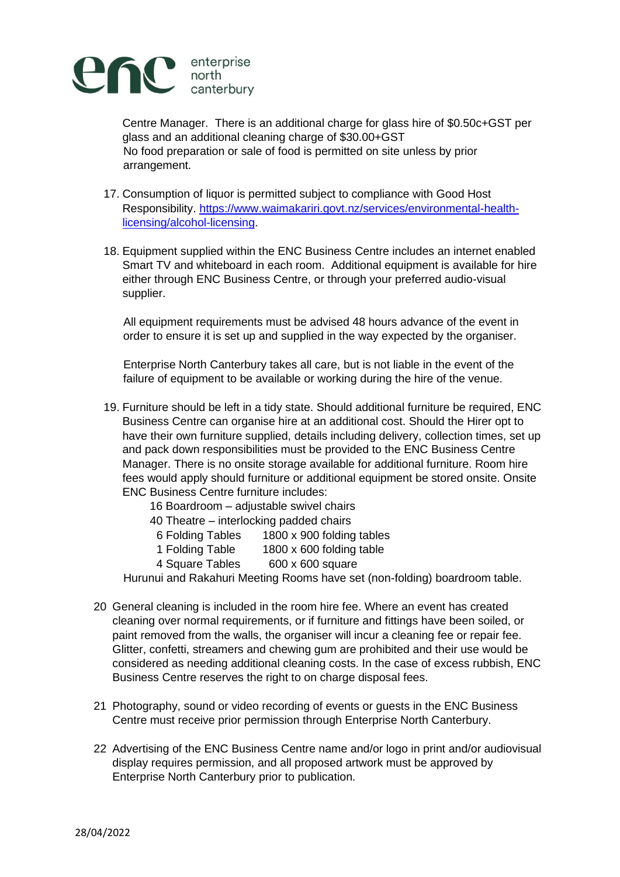

Centre Manager. There is an additional charge for glass hire of \$0.50c+GST per glass and an additional cleaning charge of \$30.00+GST No food preparation or sale of food is permitted on site unless by prior arrangement.

- 17. Consumption of liquor is permitted subject to compliance with Good Host Responsibility. [https://www.waimakariri.govt.nz/services/environmental-health](https://www.waimakariri.govt.nz/services/environmental-health-licensing/alcohol-licensing)[licensing/alcohol-licensing](https://www.waimakariri.govt.nz/services/environmental-health-licensing/alcohol-licensing)[.](http://www.waimakariri.govt.nz/services/environmental-health-licensing/alcohol-licensing)
- 18. Equipment supplied within the ENC Business Centre includes an internet enabled Smart TV and whiteboard in each room. Additional equipment is available for hire either through ENC Business Centre, or through your preferred audio-visual supplier.

All equipment requirements must be advised 48 hours advance of the event in order to ensure it is set up and supplied in the way expected by the organiser.

Enterprise North Canterbury takes all care, but is not liable in the event of the failure of equipment to be available or working during the hire of the venue.

- 19. Furniture should be left in a tidy state. Should additional furniture be required, ENC Business Centre can organise hire at an additional cost. Should the Hirer opt to have their own furniture supplied, details including delivery, collection times, set up and pack down responsibilities must be provided to the ENC Business Centre Manager. There is no onsite storage available for additional furniture. Room hire fees would apply should furniture or additional equipment be stored onsite. Onsite ENC Business Centre furniture includes:
	- 16 Boardroom adjustable swivel chairs
	- 40 Theatre interlocking padded chairs
	- 6 Folding Tables 1800 x 900 folding tables
	- 1 Folding Table 1800 x 600 folding table
	- 4 Square Tables 600 x 600 square

Hurunui and Rakahuri Meeting Rooms have set (non-folding) boardroom table.

- 20 General cleaning is included in the room hire fee. Where an event has created cleaning over normal requirements, or if furniture and fittings have been soiled, or paint removed from the walls, the organiser will incur a cleaning fee or repair fee. Glitter, confetti, streamers and chewing gum are prohibited and their use would be considered as needing additional cleaning costs. In the case of excess rubbish, ENC Business Centre reserves the right to on charge disposal fees.
- 21 Photography, sound or video recording of events or guests in the ENC Business Centre must receive prior permission through Enterprise North Canterbury.
- 22 Advertising of the ENC Business Centre name and/or logo in print and/or audiovisual display requires permission, and all proposed artwork must be approved by Enterprise North Canterbury prior to publication.